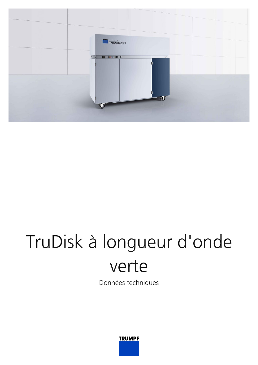

## TruDisk à longueur d'onde verte

Données techniques

**TRUMPF**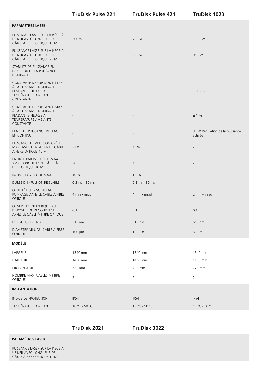| PUISSANCE LASER SUR LA PIÈCE À<br>USINER AVEC LONGUEUR DE<br>CÂBLE À FIBRE OPTIQUE 10 M                           | 200 W          | 400 W                 | 1000 W                                     |
|-------------------------------------------------------------------------------------------------------------------|----------------|-----------------------|--------------------------------------------|
| PUISSANCE LASER SUR LA PIÈCE À<br>USINER AVEC LONGUEUR DE<br>CÂBLE À FIBRE OPTIQUE 20 M                           |                | 380 W                 | 950 W                                      |
| STABILITÉ DE PUISSANCE EN<br>FONCTION DE LA PUISSANCE<br><b>NOMINALE</b>                                          |                |                       |                                            |
| CONSTANTE DE PUISSANCE TYPE<br>À LA PUISSANCE NOMINALE<br>PENDANT 8 HEURES À<br>TEMPÉRATURE AMBIANTE<br>CONSTANTE |                |                       | ± 0.5%                                     |
| CONSTANTE DE PUISSANCE MAX.<br>À LA PUISSANCE NOMINALE<br>PENDANT 8 HEURES À<br>TEMPÉRATURE AMBIANTE<br>CONSTANTE |                |                       | ± 1%                                       |
| PLAGE DE PUISSANCE RÉGLAGE<br>EN CONTINU                                                                          |                |                       | 30 W Régulation de la puissance<br>activée |
| PUISSANCE D'IMPULSION CRÊTE<br>MAX. AVEC LONGUEUR DE CÂBLE<br>À FIBRE OPTIQUE 10 M                                | 2 kW           | 4 kW                  |                                            |
| ENERGIE PAR IMPULSION MAX.<br>AVEC LONGUEUR DE CÂBLE À<br>FIBRE OPTIQUE 10 M                                      | 20J            | 40 J                  |                                            |
| RAPPORT CYCLIQUE MAX.                                                                                             | 10 %           | 10 %                  |                                            |
| DURÉE D'IMPULSION RÉGLABLE                                                                                        | 0,3 ms - 50 ms | 0,3 ms - 50 ms        |                                            |
| QUALITÉ DU FAISCEAU AU<br>POMPAGE DANS LE CÂBLE À FIBRE<br>OPTIQUE                                                | 4 mm = mrad    | $4 \text{ mm}$ = mrad | $2$ mm $\blacksquare$ mrad                 |
| OUVERTURE NUMÉRIQUE AU<br>DISPOSITIF DE DÉCOUPLAGE<br>APRÈS LE CÂBLE À FIBRE OPTIQUE                              | 0,1            | 0,1                   | 0,1                                        |
| LONGUEUR D'ONDE                                                                                                   | 515 nm         | 515 nm                | 515 nm                                     |
| DIAMÈTRE MIN. DU CÂBLE À FIBRE<br><b>OPTIQUE</b>                                                                  | $100 \mu m$    | $100 \mu m$           | $50 \mu m$                                 |
| <b>MODÈLE</b>                                                                                                     |                |                       |                                            |
| LARGEUR                                                                                                           | 1340 mm        | 1340 mm               | 1340 mm                                    |
| <b>HAUTEUR</b>                                                                                                    | 1430 mm        | 1430 mm               | 1430 mm                                    |
| <b>PROFONDEUR</b>                                                                                                 | 725 mm         | 725 mm                | 725 mm                                     |
| NOMBRE MAX. CÂBLES À FIBRE<br>OPTIQUE                                                                             | $\overline{2}$ | $\overline{2}$        | 2                                          |
| <b>IMPLANTATION</b>                                                                                               |                |                       |                                            |
| INDICE DE PROTECTION                                                                                              | <b>IP54</b>    | IP54                  | IP54                                       |
| TEMPÉRATURE AMBIANTE                                                                                              | 10 °C - 50 °C  | 10 °C - 50 °C         | $10 °C - 50 °C$                            |

**TruDisk Pulse 221 TruDisk Pulse 421 TruDisk 1020**

**TruDisk 2021 TruDisk 3022**

- -

## **PARAMÈTRES LASER**

**PARAMÈTRES LASER**